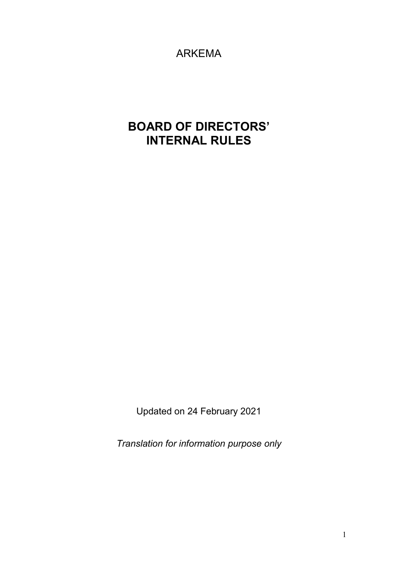# ARKEMA

# **BOARD OF DIRECTORS' INTERNAL RULES**

Updated on 24 February 2021

*Translation for information purpose only*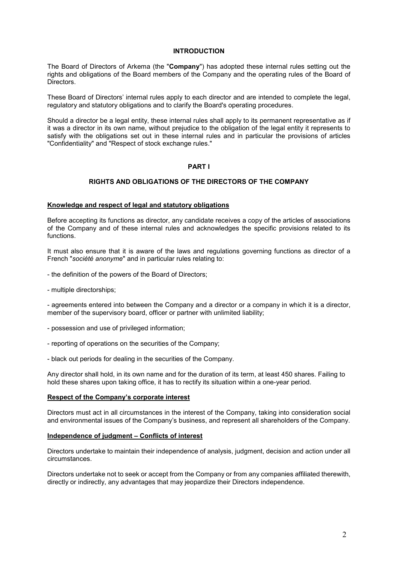#### **INTRODUCTION**

The Board of Directors of Arkema (the "**Company**") has adopted these internal rules setting out the rights and obligations of the Board members of the Company and the operating rules of the Board of Directors.

These Board of Directors' internal rules apply to each director and are intended to complete the legal, regulatory and statutory obligations and to clarify the Board's operating procedures.

Should a director be a legal entity, these internal rules shall apply to its permanent representative as if it was a director in its own name, without prejudice to the obligation of the legal entity it represents to satisfy with the obligations set out in these internal rules and in particular the provisions of articles "Confidentiality" and "Respect of stock exchange rules."

# **PART I**

#### **RIGHTS AND OBLIGATIONS OF THE DIRECTORS OF THE COMPANY**

#### **Knowledge and respect of legal and statutory obligations**

Before accepting its functions as director, any candidate receives a copy of the articles of associations of the Company and of these internal rules and acknowledges the specific provisions related to its functions.

It must also ensure that it is aware of the laws and regulations governing functions as director of a French "*société anonyme*" and in particular rules relating to:

- the definition of the powers of the Board of Directors;
- multiple directorships;

- agreements entered into between the Company and a director or a company in which it is a director, member of the supervisory board, officer or partner with unlimited liability;

- possession and use of privileged information;
- reporting of operations on the securities of the Company;
- black out periods for dealing in the securities of the Company.

Any director shall hold, in its own name and for the duration of its term, at least 450 shares. Failing to hold these shares upon taking office, it has to rectify its situation within a one-year period.

#### **Respect of the Company's corporate interest**

Directors must act in all circumstances in the interest of the Company, taking into consideration social and environmental issues of the Company's business, and represent all shareholders of the Company.

# **Independence of judgment – Conflicts of interest**

Directors undertake to maintain their independence of analysis, judgment, decision and action under all circumstances.

Directors undertake not to seek or accept from the Company or from any companies affiliated therewith, directly or indirectly, any advantages that may jeopardize their Directors independence.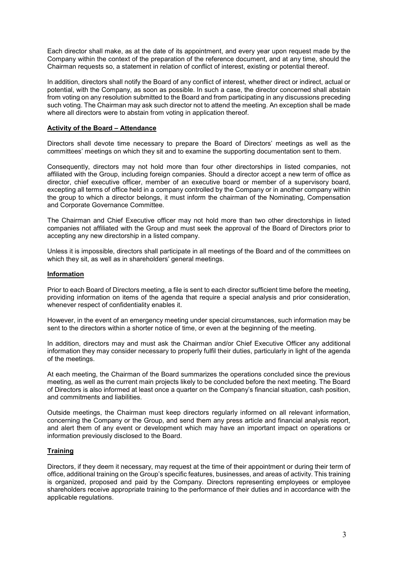Each director shall make, as at the date of its appointment, and every year upon request made by the Company within the context of the preparation of the reference document, and at any time, should the Chairman requests so, a statement in relation of conflict of interest, existing or potential thereof.

In addition, directors shall notify the Board of any conflict of interest, whether direct or indirect, actual or potential, with the Company, as soon as possible. In such a case, the director concerned shall abstain from voting on any resolution submitted to the Board and from participating in any discussions preceding such voting. The Chairman may ask such director not to attend the meeting. An exception shall be made where all directors were to abstain from voting in application thereof.

# **Activity of the Board – Attendance**

Directors shall devote time necessary to prepare the Board of Directors' meetings as well as the committees' meetings on which they sit and to examine the supporting documentation sent to them.

Consequently, directors may not hold more than four other directorships in listed companies, not affiliated with the Group, including foreign companies. Should a director accept a new term of office as director, chief executive officer, member of an executive board or member of a supervisory board, excepting all terms of office held in a company controlled by the Company or in another company within the group to which a director belongs, it must inform the chairman of the Nominating, Compensation and Corporate Governance Committee.

The Chairman and Chief Executive officer may not hold more than two other directorships in listed companies not affiliated with the Group and must seek the approval of the Board of Directors prior to accepting any new directorship in a listed company.

Unless it is impossible, directors shall participate in all meetings of the Board and of the committees on which they sit, as well as in shareholders' general meetings.

# **Information**

Prior to each Board of Directors meeting, a file is sent to each director sufficient time before the meeting, providing information on items of the agenda that require a special analysis and prior consideration, whenever respect of confidentiality enables it.

However, in the event of an emergency meeting under special circumstances, such information may be sent to the directors within a shorter notice of time, or even at the beginning of the meeting.

In addition, directors may and must ask the Chairman and/or Chief Executive Officer any additional information they may consider necessary to properly fulfil their duties, particularly in light of the agenda of the meetings.

At each meeting, the Chairman of the Board summarizes the operations concluded since the previous meeting, as well as the current main projects likely to be concluded before the next meeting. The Board of Directors is also informed at least once a quarter on the Company's financial situation, cash position, and commitments and liabilities.

Outside meetings, the Chairman must keep directors regularly informed on all relevant information, concerning the Company or the Group, and send them any press article and financial analysis report, and alert them of any event or development which may have an important impact on operations or information previously disclosed to the Board.

# **Training**

Directors, if they deem it necessary, may request at the time of their appointment or during their term of office, additional training on the Group's specific features, businesses, and areas of activity. This training is organized, proposed and paid by the Company. Directors representing employees or employee shareholders receive appropriate training to the performance of their duties and in accordance with the applicable regulations.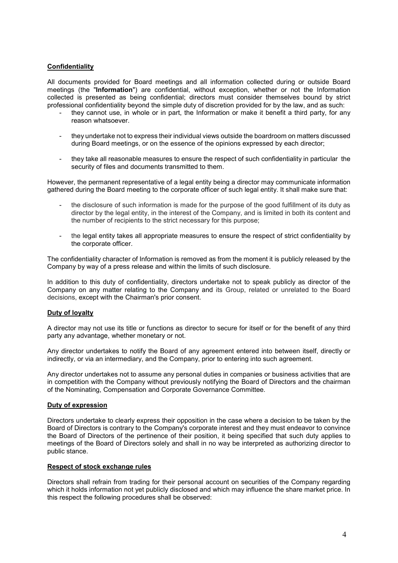# **Confidentiality**

All documents provided for Board meetings and all information collected during or outside Board meetings (the "**Information**") are confidential, without exception, whether or not the Information collected is presented as being confidential; directors must consider themselves bound by strict professional confidentiality beyond the simple duty of discretion provided for by the law, and as such:

- they cannot use, in whole or in part, the Information or make it benefit a third party, for any reason whatsoever.
- they undertake not to express their individual views outside the boardroom on matters discussed during Board meetings, or on the essence of the opinions expressed by each director;
- they take all reasonable measures to ensure the respect of such confidentiality in particular the security of files and documents transmitted to them.

However, the permanent representative of a legal entity being a director may communicate information gathered during the Board meeting to the corporate officer of such legal entity. It shall make sure that:

- the disclosure of such information is made for the purpose of the good fulfillment of its duty as director by the legal entity, in the interest of the Company, and is limited in both its content and the number of recipients to the strict necessary for this purpose;
- the legal entity takes all appropriate measures to ensure the respect of strict confidentiality by the corporate officer.

The confidentiality character of Information is removed as from the moment it is publicly released by the Company by way of a press release and within the limits of such disclosure.

In addition to this duty of confidentiality, directors undertake not to speak publicly as director of the Company on any matter relating to the Company and its Group, related or unrelated to the Board decisions, except with the Chairman's prior consent.

# **Duty of loyalty**

A director may not use its title or functions as director to secure for itself or for the benefit of any third party any advantage, whether monetary or not.

Any director undertakes to notify the Board of any agreement entered into between itself, directly or indirectly, or via an intermediary, and the Company, prior to entering into such agreement.

Any director undertakes not to assume any personal duties in companies or business activities that are in competition with the Company without previously notifying the Board of Directors and the chairman of the Nominating, Compensation and Corporate Governance Committee.

#### **Duty of expression**

Directors undertake to clearly express their opposition in the case where a decision to be taken by the Board of Directors is contrary to the Company's corporate interest and they must endeavor to convince the Board of Directors of the pertinence of their position, it being specified that such duty applies to meetings of the Board of Directors solely and shall in no way be interpreted as authorizing director to public stance.

#### **Respect of stock exchange rules**

Directors shall refrain from trading for their personal account on securities of the Company regarding which it holds information not yet publicly disclosed and which may influence the share market price. In this respect the following procedures shall be observed: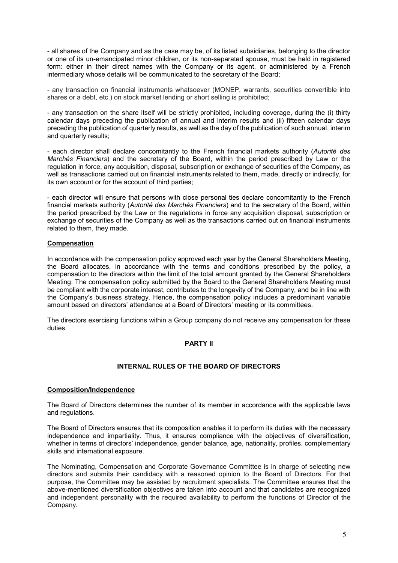- all shares of the Company and as the case may be, of its listed subsidiaries, belonging to the director or one of its un-emancipated minor children, or its non-separated spouse, must be held in registered form: either in their direct names with the Company or its agent, or administered by a French intermediary whose details will be communicated to the secretary of the Board;

- any transaction on financial instruments whatsoever (MONEP, warrants, securities convertible into shares or a debt, etc.) on stock market lending or short selling is prohibited;

- any transaction on the share itself will be strictly prohibited, including coverage, during the (i) thirty calendar days preceding the publication of annual and interim results and (ii) fifteen calendar days preceding the publication of quarterly results, as well as the day of the publication of such annual, interim and quarterly results;

- each director shall declare concomitantly to the French financial markets authority (*Autorité des Marchés Financiers*) and the secretary of the Board, within the period prescribed by Law or the regulation in force, any acquisition, disposal, subscription or exchange of securities of the Company, as well as transactions carried out on financial instruments related to them, made, directly or indirectly, for its own account or for the account of third parties;

- each director will ensure that persons with close personal ties declare concomitantly to the French financial markets authority (*Autorité des Marchés Financiers*) and to the secretary of the Board, within the period prescribed by the Law or the regulations in force any acquisition disposal, subscription or exchange of securities of the Company as well as the transactions carried out on financial instruments related to them, they made.

#### **Compensation**

In accordance with the compensation policy approved each year by the General Shareholders Meeting, the Board allocates, in accordance with the terms and conditions prescribed by the policy, a compensation to the directors within the limit of the total amount granted by the General Shareholders Meeting. The compensation policy submitted by the Board to the General Shareholders Meeting must be compliant with the corporate interest, contributes to the longevity of the Company, and be in line with the Company's business strategy. Hence, the compensation policy includes a predominant variable amount based on directors' attendance at a Board of Directors' meeting or its committees.

The directors exercising functions within a Group company do not receive any compensation for these duties.

# **PARTY II**

# **INTERNAL RULES OF THE BOARD OF DIRECTORS**

#### **Composition/Independence**

The Board of Directors determines the number of its member in accordance with the applicable laws and regulations.

The Board of Directors ensures that its composition enables it to perform its duties with the necessary independence and impartiality. Thus, it ensures compliance with the objectives of diversification, whether in terms of directors' independence, gender balance, age, nationality, profiles, complementary skills and international exposure.

The Nominating, Compensation and Corporate Governance Committee is in charge of selecting new directors and submits their candidacy with a reasoned opinion to the Board of Directors. For that purpose, the Committee may be assisted by recruitment specialists. The Committee ensures that the above-mentioned diversification objectives are taken into account and that candidates are recognized and independent personality with the required availability to perform the functions of Director of the Company.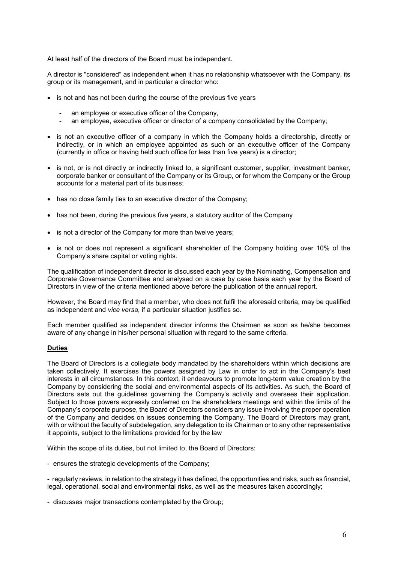At least half of the directors of the Board must be independent.

A director is "considered" as independent when it has no relationship whatsoever with the Company, its group or its management, and in particular a director who:

- is not and has not been during the course of the previous five years
	- an employee or executive officer of the Company,
	- an employee, executive officer or director of a company consolidated by the Company;
- is not an executive officer of a company in which the Company holds a directorship, directly or indirectly, or in which an employee appointed as such or an executive officer of the Company (currently in office or having held such office for less than five years) is a director;
- is not, or is not directly or indirectly linked to, a significant customer, supplier, investment banker, corporate banker or consultant of the Company or its Group, or for whom the Company or the Group accounts for a material part of its business;
- has no close family ties to an executive director of the Company;
- has not been, during the previous five years, a statutory auditor of the Company
- is not a director of the Company for more than twelve years;
- is not or does not represent a significant shareholder of the Company holding over 10% of the Company's share capital or voting rights.

The qualification of independent director is discussed each year by the Nominating, Compensation and Corporate Governance Committee and analysed on a case by case basis each year by the Board of Directors in view of the criteria mentioned above before the publication of the annual report.

However, the Board may find that a member, who does not fulfil the aforesaid criteria, may be qualified as independent and *vice versa*, if a particular situation justifies so.

Each member qualified as independent director informs the Chairmen as soon as he/she becomes aware of any change in his/her personal situation with regard to the same criteria.

# **Duties**

The Board of Directors is a collegiate body mandated by the shareholders within which decisions are taken collectively. It exercises the powers assigned by Law in order to act in the Company's best interests in all circumstances. In this context, it endeavours to promote long-term value creation by the Company by considering the social and environmental aspects of its activities. As such, the Board of Directors sets out the guidelines governing the Company's activity and oversees their application. Subject to those powers expressly conferred on the shareholders meetings and within the limits of the Company's corporate purpose, the Board of Directors considers any issue involving the proper operation of the Company and decides on issues concerning the Company. The Board of Directors may grant, with or without the faculty of subdelegation, any delegation to its Chairman or to any other representative it appoints, subject to the limitations provided for by the law

Within the scope of its duties, but not limited to, the Board of Directors:

- ensures the strategic developments of the Company;

- regularly reviews, in relation to the strategy it has defined, the opportunities and risks, such as financial, legal, operational, social and environmental risks, as well as the measures taken accordingly;

- discusses major transactions contemplated by the Group;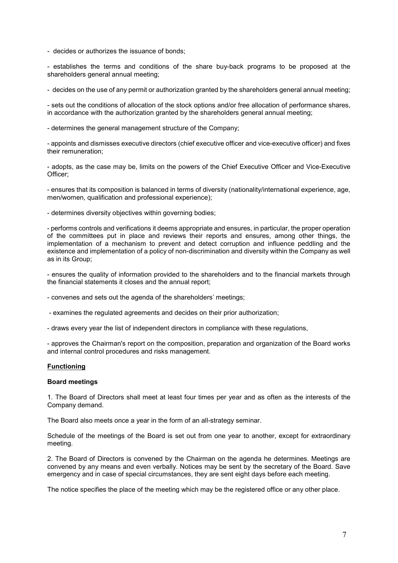- decides or authorizes the issuance of bonds;

- establishes the terms and conditions of the share buy-back programs to be proposed at the shareholders general annual meeting;

- decides on the use of any permit or authorization granted by the shareholders general annual meeting;

- sets out the conditions of allocation of the stock options and/or free allocation of performance shares, in accordance with the authorization granted by the shareholders general annual meeting;

- determines the general management structure of the Company;

- appoints and dismisses executive directors (chief executive officer and vice-executive officer) and fixes their remuneration;

- adopts, as the case may be, limits on the powers of the Chief Executive Officer and Vice-Executive Officer;

- ensures that its composition is balanced in terms of diversity (nationality/international experience, age, men/women, qualification and professional experience);

- determines diversity objectives within governing bodies;

- performs controls and verifications it deems appropriate and ensures, in particular, the proper operation of the committees put in place and reviews their reports and ensures, among other things, the implementation of a mechanism to prevent and detect corruption and influence peddling and the existence and implementation of a policy of non-discrimination and diversity within the Company as well as in its Group;

- ensures the quality of information provided to the shareholders and to the financial markets through the financial statements it closes and the annual report;

- convenes and sets out the agenda of the shareholders' meetings;

- examines the regulated agreements and decides on their prior authorization;

- draws every year the list of independent directors in compliance with these regulations,

- approves the Chairman's report on the composition, preparation and organization of the Board works and internal control procedures and risks management.

#### **Functioning**

#### **Board meetings**

1. The Board of Directors shall meet at least four times per year and as often as the interests of the Company demand.

The Board also meets once a year in the form of an all-strategy seminar.

Schedule of the meetings of the Board is set out from one year to another, except for extraordinary meeting.

2. The Board of Directors is convened by the Chairman on the agenda he determines. Meetings are convened by any means and even verbally. Notices may be sent by the secretary of the Board. Save emergency and in case of special circumstances, they are sent eight days before each meeting.

The notice specifies the place of the meeting which may be the registered office or any other place.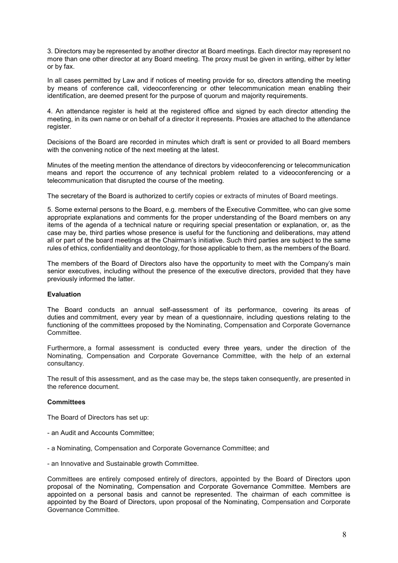3. Directors may be represented by another director at Board meetings. Each director may represent no more than one other director at any Board meeting. The proxy must be given in writing, either by letter or by fax.

In all cases permitted by Law and if notices of meeting provide for so, directors attending the meeting by means of conference call, videoconferencing or other telecommunication mean enabling their identification, are deemed present for the purpose of quorum and majority requirements.

4. An attendance register is held at the registered office and signed by each director attending the meeting, in its own name or on behalf of a director it represents. Proxies are attached to the attendance register.

Decisions of the Board are recorded in minutes which draft is sent or provided to all Board members with the convening notice of the next meeting at the latest.

Minutes of the meeting mention the attendance of directors by videoconferencing or telecommunication means and report the occurrence of any technical problem related to a videoconferencing or a telecommunication that disrupted the course of the meeting.

The secretary of the Board is authorized to certify copies or extracts of minutes of Board meetings.

5. Some external persons to the Board, e.g. members of the Executive Committee, who can give some appropriate explanations and comments for the proper understanding of the Board members on any items of the agenda of a technical nature or requiring special presentation or explanation, or, as the case may be, third parties whose presence is useful for the functioning and deliberations, may attend all or part of the board meetings at the Chairman's initiative. Such third parties are subject to the same rules of ethics, confidentiality and deontology, for those applicable to them, as the members of the Board.

The members of the Board of Directors also have the opportunity to meet with the Company's main senior executives, including without the presence of the executive directors, provided that they have previously informed the latter.

#### **Evaluation**

The Board conducts an annual self-assessment of its performance, covering its areas of duties and commitment, every year by mean of a questionnaire, including questions relating to the functioning of the committees proposed by the Nominating, Compensation and Corporate Governance Committee.

Furthermore, a formal assessment is conducted every three years, under the direction of the Nominating, Compensation and Corporate Governance Committee, with the help of an external consultancy.

The result of this assessment, and as the case may be, the steps taken consequently, are presented in the reference document.

#### **Committees**

The Board of Directors has set up:

- an Audit and Accounts Committee;
- a Nominating, Compensation and Corporate Governance Committee; and
- an Innovative and Sustainable growth Committee.

Committees are entirely composed entirely of directors, appointed by the Board of Directors upon proposal of the Nominating, Compensation and Corporate Governance Committee. Members are appointed on a personal basis and cannot be represented. The chairman of each committee is appointed by the Board of Directors, upon proposal of the Nominating, Compensation and Corporate Governance Committee.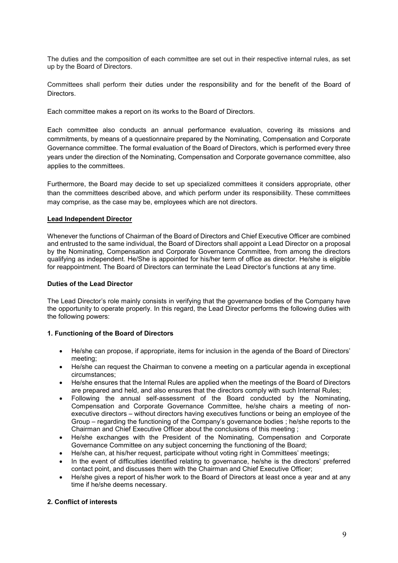The duties and the composition of each committee are set out in their respective internal rules, as set up by the Board of Directors.

Committees shall perform their duties under the responsibility and for the benefit of the Board of Directors.

Each committee makes a report on its works to the Board of Directors.

Each committee also conducts an annual performance evaluation, covering its missions and commitments, by means of a questionnaire prepared by the Nominating, Compensation and Corporate Governance committee. The formal evaluation of the Board of Directors, which is performed every three years under the direction of the Nominating, Compensation and Corporate governance committee, also applies to the committees.

Furthermore, the Board may decide to set up specialized committees it considers appropriate, other than the committees described above, and which perform under its responsibility. These committees may comprise, as the case may be, employees which are not directors.

#### **Lead Independent Director**

Whenever the functions of Chairman of the Board of Directors and Chief Executive Officer are combined and entrusted to the same individual, the Board of Directors shall appoint a Lead Director on a proposal by the Nominating, Compensation and Corporate Governance Committee, from among the directors qualifying as independent. He/She is appointed for his/her term of office as director. He/she is eligible for reappointment. The Board of Directors can terminate the Lead Director's functions at any time.

#### **Duties of the Lead Director**

The Lead Director's role mainly consists in verifying that the governance bodies of the Company have the opportunity to operate properly. In this regard, the Lead Director performs the following duties with the following powers:

# **1. Functioning of the Board of Directors**

- He/she can propose, if appropriate, items for inclusion in the agenda of the Board of Directors' meeting;
- He/she can request the Chairman to convene a meeting on a particular agenda in exceptional circumstances;
- He/she ensures that the Internal Rules are applied when the meetings of the Board of Directors are prepared and held, and also ensures that the directors comply with such Internal Rules;
- Following the annual self-assessment of the Board conducted by the Nominating, Compensation and Corporate Governance Committee, he/she chairs a meeting of nonexecutive directors – without directors having executives functions or being an employee of the Group – regarding the functioning of the Company's governance bodies ; he/she reports to the Chairman and Chief Executive Officer about the conclusions of this meeting ;
- He/she exchanges with the President of the Nominating, Compensation and Corporate Governance Committee on any subject concerning the functioning of the Board;
- He/she can, at his/her request, participate without voting right in Committees' meetings;
- In the event of difficulties identified relating to governance, he/she is the directors' preferred contact point, and discusses them with the Chairman and Chief Executive Officer;
- He/she gives a report of his/her work to the Board of Directors at least once a vear and at any time if he/she deems necessary.

# **2. Conflict of interests**